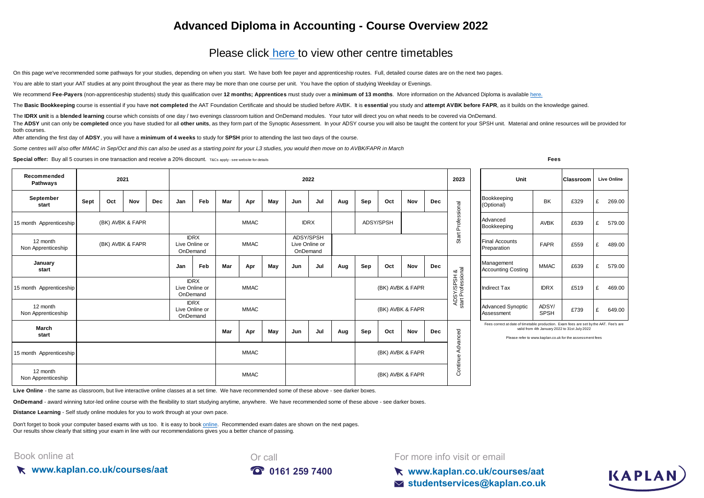## **Advanced Diploma in Accounting - Course Overview 2022**

## [Please click here t](https://kaplan.co.uk/courses/aat)o view other centre timetables

On this page we've recommended some pathways for your studies, depending on when you start. We have both fee payer and apprenticeship routes. Full, detailed course dates are on the next two pages.

You are able to start your AAT studies at any point throughout the year as there may be more than one course per unit. You have the option of studying Weekday or Evenings.

[We recommend](https://kaplan.co.uk/courses/aat) [Fee-Payers](https://kaplan.co.uk/courses/aat) [\(non-apprenticeship students\) study this qualification over](https://kaplan.co.uk/courses/aat) 12 months; Apprentices must study over a minimum of 13 months. More information on the Advanced Diploma is available here.

The Basic Bookkeeping course is essential if you have not completed the AAT Foundation Certificate and should be studied before AVBK. It is essential you study and attempt AVBK before FAPR, as it builds on the knowledge ga

The IDRX unit is a blended learning course which consists of one day / two evenings classroom tuition and OnDemand modules. Your tutor will direct you on what needs to be covered via OnDemand.

The ADSY unit can only be completed once you have studied for all other units, as they form part of the Synoptic Assessment. In your ADSY course you will also be taught the content for your SPSH unit. Material and online r both courses.

After attending the first day of **ADSY**, you will have a **minimum of 4 weeks** to study for **SPSH** prior to attending the last two days of the course.

*Some centres will also offer MMAC in Sep/Oct and this can also be used as a starting point for your L3 studies, you would then move on to AVBK/FAPR in March*

**Special offer:** Buy all 5 courses in one transaction and receive a 20% discount. T&Cs apply - see website for details **From and the controlled and the CS** apply - see website for details

| Recommended<br>Pathways        | 2021             |     |     |                                           | 2022                                                     |                                                          |             |             |                                         |             |     |                  |                  | 2023             | Unit                        |                         | <b>Classroom</b>                       | <b>Live Online</b>                                                                    |             |                                                                                                           |             |
|--------------------------------|------------------|-----|-----|-------------------------------------------|----------------------------------------------------------|----------------------------------------------------------|-------------|-------------|-----------------------------------------|-------------|-----|------------------|------------------|------------------|-----------------------------|-------------------------|----------------------------------------|---------------------------------------------------------------------------------------|-------------|-----------------------------------------------------------------------------------------------------------|-------------|
| September<br>start             | Sept             | Oct | Nov | Dec                                       | Jan                                                      | Feb                                                      | Mar         | Apr         | May                                     | Jun         | Jul | Aug              | Sep              | Oct              | Nov                         | <b>Dec</b>              |                                        | Bookkeeping<br>(Optional)                                                             | <b>BK</b>   | £329                                                                                                      | £<br>269.00 |
| 15 month Apprenticeship        | (BK) AVBK & FAPR |     |     |                                           |                                                          |                                                          | <b>MMAC</b> |             |                                         | <b>IDRX</b> |     | ADSY/SPSH        |                  |                  | Professional                | Advanced<br>Bookkeeping | AVBK                                   | £639                                                                                  | £<br>579.00 |                                                                                                           |             |
| 12 month<br>Non Apprenticeship | (BK) AVBK & FAPR |     |     | <b>IDRX</b><br>Live Online or<br>OnDemand |                                                          | <b>MMAC</b>                                              |             |             | ADSY/SPSH<br>Live Online or<br>OnDemand |             |     |                  |                  |                  |                             | Start                   | <b>Final Accounts</b><br>Preparation   | <b>FAPR</b>                                                                           | £559        | £<br>489.00                                                                                               |             |
| January<br>start               |                  |     |     |                                           | Jan                                                      | <b>Feb</b>                                               | Mar         | Apr         | May                                     | Jun         | Jul | Aug              | Sep              | Oct              | Nov                         | <b>Dec</b>              |                                        | Management<br><b>Accounting Costing</b>                                               | <b>MMAC</b> | £639                                                                                                      | £<br>579.00 |
| 15 month Apprenticeship        |                  |     |     |                                           | <b>IDRX</b><br><b>MMAC</b><br>Live Online or<br>OnDemand |                                                          |             |             |                                         |             |     | (BK) AVBK & FAPR |                  |                  | SY/SPSH &<br>t Professional | <b>Indirect Tax</b>     | <b>IDRX</b>                            | £519                                                                                  | £<br>469.00 |                                                                                                           |             |
| 12 month<br>Non Apprenticeship |                  |     |     |                                           |                                                          | <b>IDRX</b><br><b>MMAC</b><br>Live Online or<br>OnDemand |             |             |                                         |             |     |                  | (BK) AVBK & FAPR |                  |                             | AD <sub>S</sub>         | <b>Advanced Synoptic</b><br>Assessment | ADSY/<br><b>SPSH</b>                                                                  | £739        | £<br>649.00                                                                                               |             |
| March<br>start                 |                  |     |     |                                           |                                                          |                                                          | Mar         | Apr         | May                                     | Jun         | Jul | Aug              | Sep              | Oct              | Nov                         | <b>Dec</b>              | anced                                  | Fees correct at date of timetable production. Exam fees are set by the AAT. Fee's are |             | valid from 4th January 2022 to 31st July 2022<br>Please refer to www.kaplan.co.uk for the assessment fees |             |
| 15 month Apprenticeship        |                  |     |     |                                           |                                                          |                                                          |             | <b>MMAC</b> |                                         |             |     |                  |                  | (BK) AVBK & FAPR |                             |                         | 공<br>∢<br>ontinue                      |                                                                                       |             |                                                                                                           |             |
| 12 month<br>Non Apprenticeship |                  |     |     |                                           |                                                          |                                                          |             | <b>MMAC</b> |                                         |             |     |                  |                  | (BK) AVBK & FAPR |                             |                         | Ō                                      |                                                                                       |             |                                                                                                           |             |
|                                |                  |     |     |                                           |                                                          |                                                          |             |             |                                         |             |     |                  |                  |                  |                             |                         |                                        |                                                                                       |             |                                                                                                           |             |

**Live Online** - the same as classroom, but live interactive online classes at a set time. We have recommended some of these above - see darker boxes.

**OnDemand** - award winning tutor-led online course with the flexibility to start studying anytime, anywhere. We have recommended some of these above - see darker boxes.

**Distance Learning** - Self study online modules for you to work through at your own pace.

[Don't forget to book your computer based exams with us too. It is easy to book online](https://kaplan.co.uk/exams). Recommended exam dates are shown on the next pages. [Our results show clearly th](https://kaplan.co.uk/exams)at sitting your exam in line with our recommendations gives you a better chance of passing.

#### Book online at





For more info visit or email

**www.kaplan.co.uk/courses/aat studentservices@kaplan.co.uk**